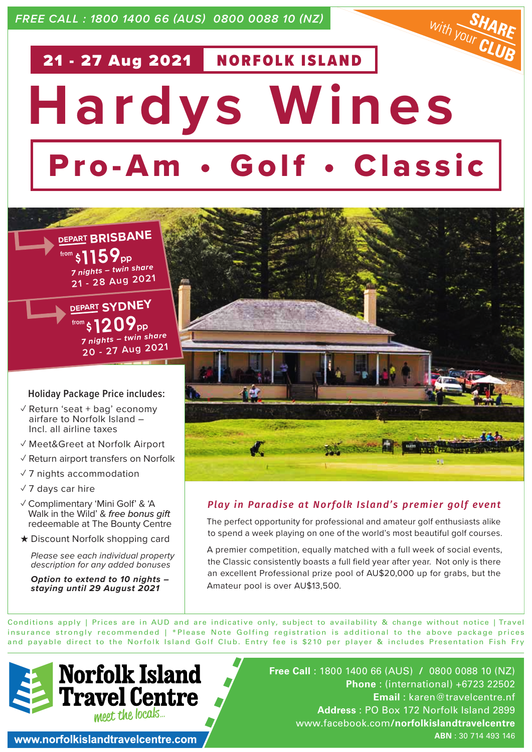*FREE CALL : 1800 1400 66 (AUS) 0800 0088 10 (NZ)*

# $w_{ith}$   $\frac{S}{V_{OUT}}$ 21 - 27 Aug 2021 NORFOLK ISLAND **Hardys Wines** Pro-Am • Golf • Classic





#### **Holiday Package Price includes:**

- $\sqrt{2}$  Return 'seat + bag' economy airfare to Norfolk Island – Incl. all airline taxes
- ✓ Meet&Greet at Norfolk Airport
- ✓ Return airport transfers on Norfolk
- ✓ 7 nights accommodation
- $\sqrt{7}$  days car hire
- ✓ Complimentary 'Mini Golf' & 'A Walk in the Wild' & *free bonus gift* redeemable at The Bounty Centre
- ★ Discount Norfolk shopping card

*Please see each individual property description for any added bonuses*

*Option to extend to 10 nights – staying until 29 August 2021*



# *Play in Paradise at Norfolk Island's premier golf event*

The perfect opportunity for professional and amateur golf enthusiasts alike to spend a week playing on one of the world's most beautiful golf courses.

A premier competition, equally matched with a full week of social events, the Classic consistently boasts a full field year after year. Not only is there an excellent Professional prize pool of AU\$20,000 up for grabs, but the Amateur pool is over AU\$13,500.

Conditions apply | Prices are in AUD and are indicative only, subject to availability & change without notice | Travel insurance strongly recommended | \*Please Note Golfing registration is additional to the above package prices and payable direct to the Norfolk Island Golf Club. Entry fee is \$210 per player & includes Presentation Fish Fry



**Free Call** : 1800 1400 66 (AUS) **/** 0800 0088 10 (NZ) **Phone** : (international) +6723 22502 **Email** : karen@travelcentre.nf **Address** : PO Box 172 Norfolk Island 2899 www.facebook.com**/norfolkislandtravelcentre ABN** : 30 714 493 146

www.norfolkislandtravelcentre.com